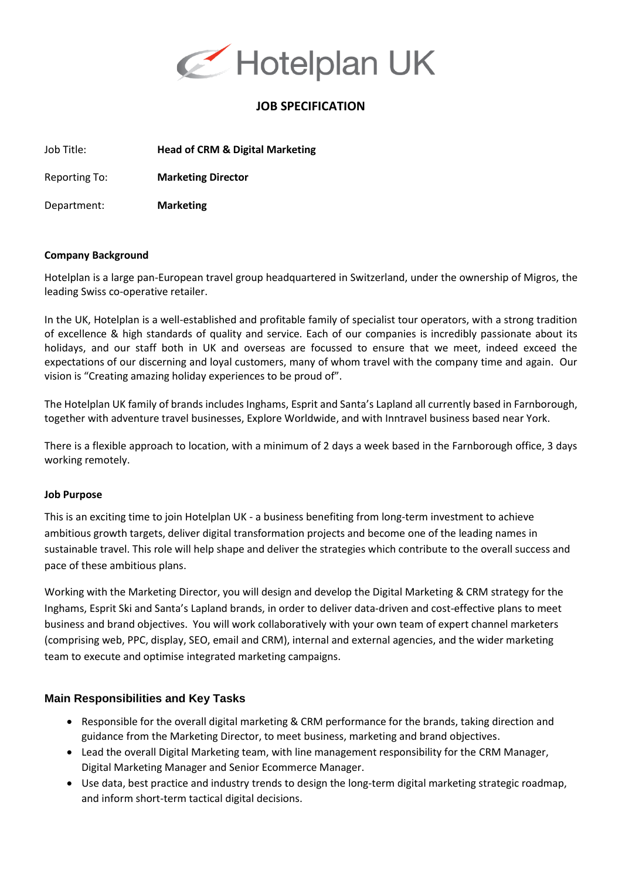

# **JOB SPECIFICATION**

Job Title: **Head of CRM & Digital Marketing**

Reporting To: **Marketing Director**

Department: **Marketing**

#### **Company Background**

Hotelplan is a large pan-European travel group headquartered in Switzerland, under the ownership of Migros, the leading Swiss co-operative retailer.

In the UK, Hotelplan is a well-established and profitable family of specialist tour operators, with a strong tradition of excellence & high standards of quality and service. Each of our companies is incredibly passionate about its holidays, and our staff both in UK and overseas are focussed to ensure that we meet, indeed exceed the expectations of our discerning and loyal customers, many of whom travel with the company time and again. Our vision is "Creating amazing holiday experiences to be proud of".

The Hotelplan UK family of brands includes Inghams, Esprit and Santa's Lapland all currently based in Farnborough, together with adventure travel businesses, Explore Worldwide, and with Inntravel business based near York.

There is a flexible approach to location, with a minimum of 2 days a week based in the Farnborough office, 3 days working remotely.

#### **Job Purpose**

This is an exciting time to join Hotelplan UK - a business benefiting from long-term investment to achieve ambitious growth targets, deliver digital transformation projects and become one of the leading names in sustainable travel. This role will help shape and deliver the strategies which contribute to the overall success and pace of these ambitious plans.

Working with the Marketing Director, you will design and develop the Digital Marketing & CRM strategy for the Inghams, Esprit Ski and Santa's Lapland brands, in order to deliver data-driven and cost-effective plans to meet business and brand objectives. You will work collaboratively with your own team of expert channel marketers (comprising web, PPC, display, SEO, email and CRM), internal and external agencies, and the wider marketing team to execute and optimise integrated marketing campaigns.

## **Main Responsibilities and Key Tasks**

- Responsible for the overall digital marketing & CRM performance for the brands, taking direction and guidance from the Marketing Director, to meet business, marketing and brand objectives.
- Lead the overall Digital Marketing team, with line management responsibility for the CRM Manager, Digital Marketing Manager and Senior Ecommerce Manager.
- Use data, best practice and industry trends to design the long-term digital marketing strategic roadmap, and inform short-term tactical digital decisions.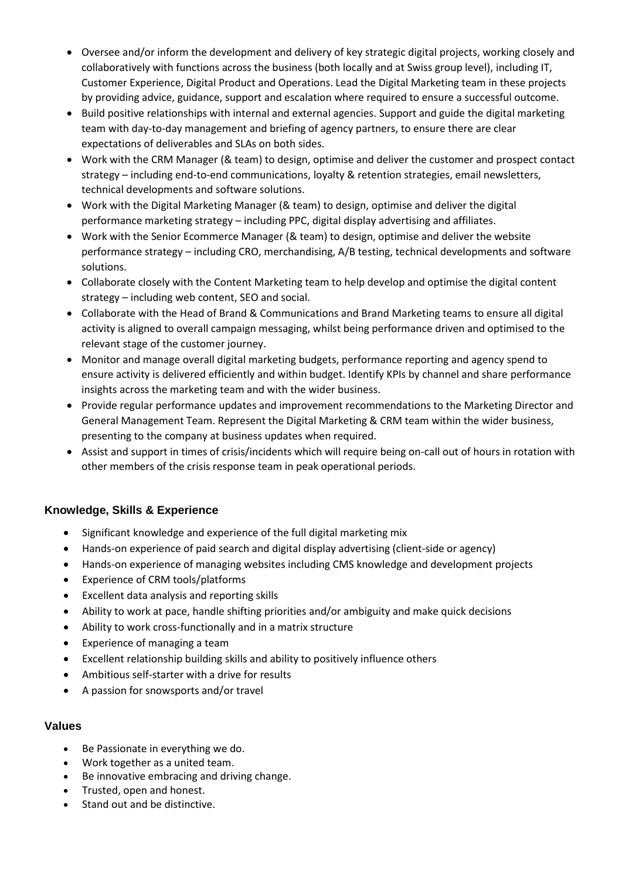- Oversee and/or inform the development and delivery of key strategic digital projects, working closely and collaboratively with functions across the business (both locally and at Swiss group level), including IT, Customer Experience, Digital Product and Operations. Lead the Digital Marketing team in these projects by providing advice, guidance, support and escalation where required to ensure a successful outcome.
- Build positive relationships with internal and external agencies. Support and guide the digital marketing team with day-to-day management and briefing of agency partners, to ensure there are clear expectations of deliverables and SLAs on both sides.
- Work with the CRM Manager (& team) to design, optimise and deliver the customer and prospect contact strategy – including end-to-end communications, loyalty & retention strategies, email newsletters, technical developments and software solutions.
- Work with the Digital Marketing Manager (& team) to design, optimise and deliver the digital performance marketing strategy – including PPC, digital display advertising and affiliates.
- Work with the Senior Ecommerce Manager (& team) to design, optimise and deliver the website performance strategy – including CRO, merchandising, A/B testing, technical developments and software solutions.
- Collaborate closely with the Content Marketing team to help develop and optimise the digital content strategy – including web content, SEO and social.
- Collaborate with the Head of Brand & Communications and Brand Marketing teams to ensure all digital activity is aligned to overall campaign messaging, whilst being performance driven and optimised to the relevant stage of the customer journey.
- Monitor and manage overall digital marketing budgets, performance reporting and agency spend to ensure activity is delivered efficiently and within budget. Identify KPIs by channel and share performance insights across the marketing team and with the wider business.
- Provide regular performance updates and improvement recommendations to the Marketing Director and General Management Team. Represent the Digital Marketing & CRM team within the wider business, presenting to the company at business updates when required.
- Assist and support in times of crisis/incidents which will require being on-call out of hours in rotation with other members of the crisis response team in peak operational periods.

## **Knowledge, Skills & Experience**

- Significant knowledge and experience of the full digital marketing mix
- Hands-on experience of paid search and digital display advertising (client-side or agency)
- Hands-on experience of managing websites including CMS knowledge and development projects
- Experience of CRM tools/platforms
- Excellent data analysis and reporting skills
- Ability to work at pace, handle shifting priorities and/or ambiguity and make quick decisions
- Ability to work cross-functionally and in a matrix structure
- Experience of managing a team
- Excellent relationship building skills and ability to positively influence others
- Ambitious self-starter with a drive for results
- A passion for snowsports and/or travel

## **Values**

- Be Passionate in everything we do.
- Work together as a united team.
- Be innovative embracing and driving change.
- Trusted, open and honest.
- Stand out and be distinctive.